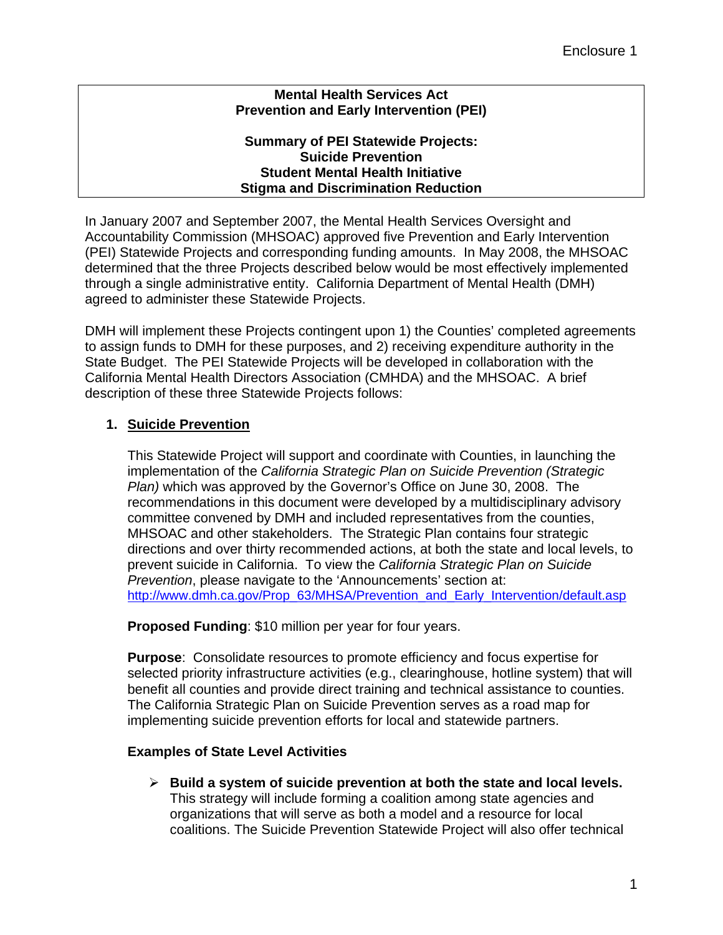### **Mental Health Services Act Prevention and Early Intervention (PEI)**

#### **Summary of PEI Statewide Projects: Suicide Prevention Student Mental Health Initiative Stigma and Discrimination Reduction**

In January 2007 and September 2007, the Mental Health Services Oversight and Accountability Commission (MHSOAC) approved five Prevention and Early Intervention (PEI) Statewide Projects and corresponding funding amounts. In May 2008, the MHSOAC determined that the three Projects described below would be most effectively implemented through a single administrative entity. California Department of Mental Health (DMH) agreed to administer these Statewide Projects.

DMH will implement these Projects contingent upon 1) the Counties' completed agreements to assign funds to DMH for these purposes, and 2) receiving expenditure authority in the State Budget. The PEI Statewide Projects will be developed in collaboration with the California Mental Health Directors Association (CMHDA) and the MHSOAC. A brief description of these three Statewide Projects follows:

# **1. Suicide Prevention**

This Statewide Project will support and coordinate with Counties, in launching the implementation of the *California Strategic Plan on Suicide Prevention (Strategic Plan)* which was approved by the Governor's Office on June 30, 2008. The recommendations in this document were developed by a multidisciplinary advisory committee convened by DMH and included representatives from the counties, MHSOAC and other stakeholders. The Strategic Plan contains four strategic directions and over thirty recommended actions, at both the state and local levels, to prevent suicide in California. To view the *California Strategic Plan on Suicide Prevention*, please navigate to the 'Announcements' section at: [http://www.dmh.ca.gov/Prop\\_63/MHSA/Prevention\\_and\\_Early\\_Intervention/default.asp](http://www.dmh.ca.gov/Prop_63/MHSA/Prevention_and_Early_Intervention/default.asp)

**Proposed Funding**: \$10 million per year for four years.

**Purpose**: Consolidate resources to promote efficiency and focus expertise for selected priority infrastructure activities (e.g., clearinghouse, hotline system) that will benefit all counties and provide direct training and technical assistance to counties. The California Strategic Plan on Suicide Prevention serves as a road map for implementing suicide prevention efforts for local and statewide partners.

### **Examples of State Level Activities**

¾ **Build a system of suicide prevention at both the state and local levels.** This strategy will include forming a coalition among state agencies and organizations that will serve as both a model and a resource for local coalitions. The Suicide Prevention Statewide Project will also offer technical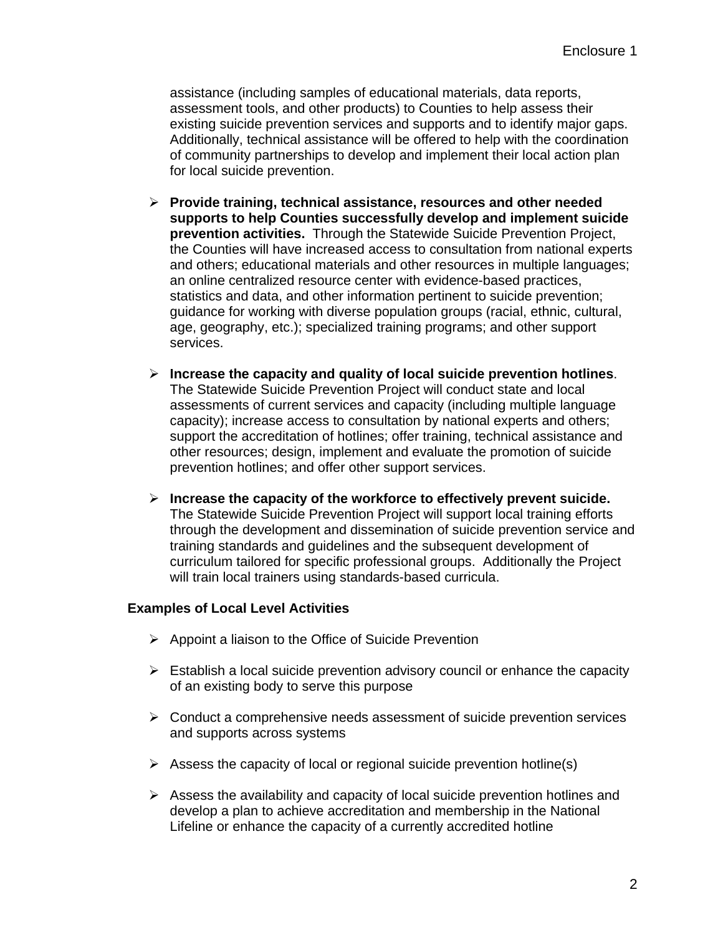assistance (including samples of educational materials, data reports, assessment tools, and other products) to Counties to help assess their existing suicide prevention services and supports and to identify major gaps. Additionally, technical assistance will be offered to help with the coordination of community partnerships to develop and implement their local action plan for local suicide prevention.

- ¾ **Provide training, technical assistance, resources and other needed supports to help Counties successfully develop and implement suicide prevention activities.** Through the Statewide Suicide Prevention Project, the Counties will have increased access to consultation from national experts and others; educational materials and other resources in multiple languages; an online centralized resource center with evidence-based practices, statistics and data, and other information pertinent to suicide prevention; guidance for working with diverse population groups (racial, ethnic, cultural, age, geography, etc.); specialized training programs; and other support services.
- ¾ **Increase the capacity and quality of local suicide prevention hotlines**. The Statewide Suicide Prevention Project will conduct state and local assessments of current services and capacity (including multiple language capacity); increase access to consultation by national experts and others; support the accreditation of hotlines; offer training, technical assistance and other resources; design, implement and evaluate the promotion of suicide prevention hotlines; and offer other support services.
- ¾ **Increase the capacity of the workforce to effectively prevent suicide.**  The Statewide Suicide Prevention Project will support local training efforts through the development and dissemination of suicide prevention service and training standards and guidelines and the subsequent development of curriculum tailored for specific professional groups. Additionally the Project will train local trainers using standards-based curricula.

### **Examples of Local Level Activities**

- $\triangleright$  Appoint a liaison to the Office of Suicide Prevention
- $\triangleright$  Establish a local suicide prevention advisory council or enhance the capacity of an existing body to serve this purpose
- $\triangleright$  Conduct a comprehensive needs assessment of suicide prevention services and supports across systems
- $\triangleright$  Assess the capacity of local or regional suicide prevention hotline(s)
- $\triangleright$  Assess the availability and capacity of local suicide prevention hotlines and develop a plan to achieve accreditation and membership in the National Lifeline or enhance the capacity of a currently accredited hotline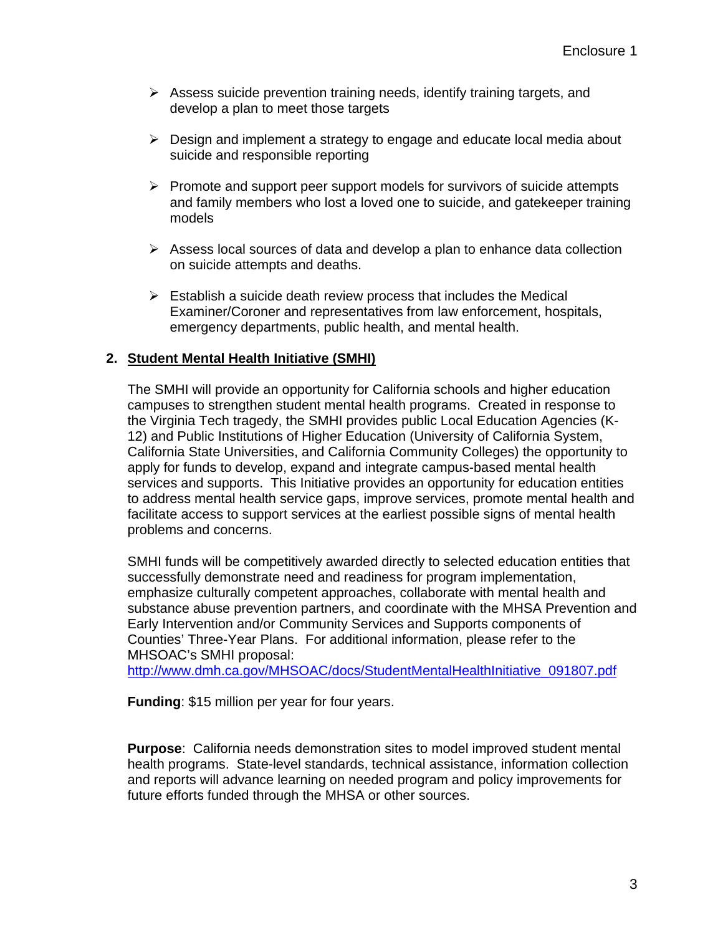- $\triangleright$  Assess suicide prevention training needs, identify training targets, and develop a plan to meet those targets
- $\triangleright$  Design and implement a strategy to engage and educate local media about suicide and responsible reporting
- $\triangleright$  Promote and support peer support models for survivors of suicide attempts and family members who lost a loved one to suicide, and gatekeeper training models
- $\triangleright$  Assess local sources of data and develop a plan to enhance data collection on suicide attempts and deaths.
- $\triangleright$  Establish a suicide death review process that includes the Medical Examiner/Coroner and representatives from law enforcement, hospitals, emergency departments, public health, and mental health.

### **2. Student Mental Health Initiative (SMHI)**

The SMHI will provide an opportunity for California schools and higher education campuses to strengthen student mental health programs. Created in response to the Virginia Tech tragedy, the SMHI provides public Local Education Agencies (K-12) and Public Institutions of Higher Education (University of California System, California State Universities, and California Community Colleges) the opportunity to apply for funds to develop, expand and integrate campus-based mental health services and supports. This Initiative provides an opportunity for education entities to address mental health service gaps, improve services, promote mental health and facilitate access to support services at the earliest possible signs of mental health problems and concerns.

SMHI funds will be competitively awarded directly to selected education entities that successfully demonstrate need and readiness for program implementation, emphasize culturally competent approaches, collaborate with mental health and substance abuse prevention partners, and coordinate with the MHSA Prevention and Early Intervention and/or Community Services and Supports components of Counties' Three-Year Plans. For additional information, please refer to the MHSOAC's SMHI proposal:

[http://www.dmh.ca.gov/MHSOAC/docs/StudentMentalHealthInitiative\\_091807.pdf](http://www.dmh.ca.gov/MHSOAC/docs/StudentMentalHealthInitiative_091807.pdf)

**Funding**: \$15 million per year for four years.

**Purpose**: California needs demonstration sites to model improved student mental health programs. State-level standards, technical assistance, information collection and reports will advance learning on needed program and policy improvements for future efforts funded through the MHSA or other sources.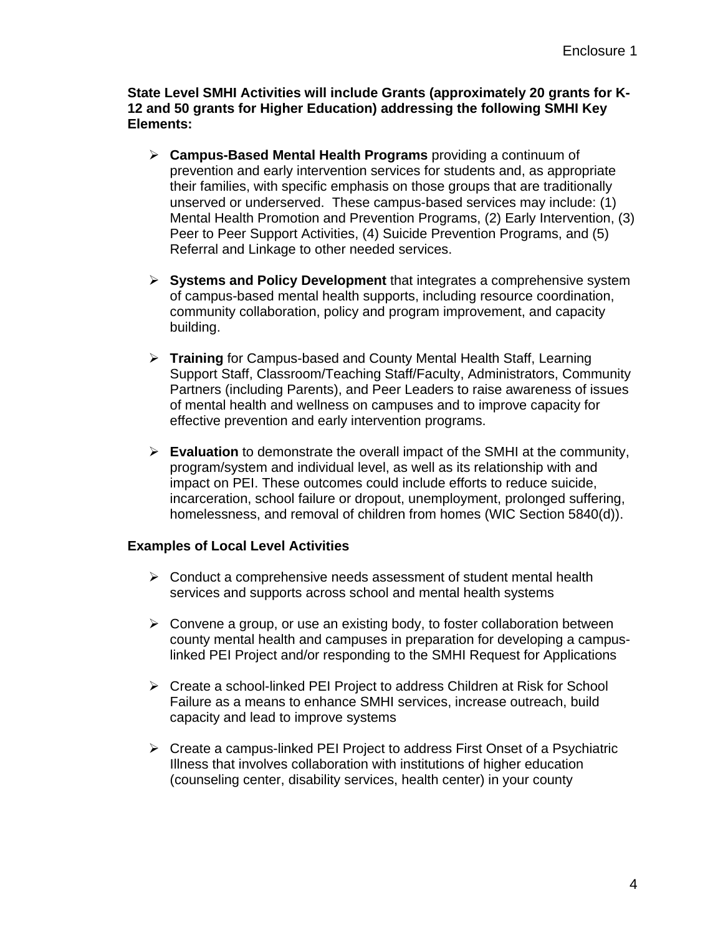**State Level SMHI Activities will include Grants (approximately 20 grants for K-12 and 50 grants for Higher Education) addressing the following SMHI Key Elements:** 

- ¾ **Campus-Based Mental Health Programs** providing a continuum of prevention and early intervention services for students and, as appropriate their families, with specific emphasis on those groups that are traditionally unserved or underserved. These campus-based services may include: (1) Mental Health Promotion and Prevention Programs, (2) Early Intervention, (3) Peer to Peer Support Activities, (4) Suicide Prevention Programs, and (5) Referral and Linkage to other needed services.
- ¾ **Systems and Policy Development** that integrates a comprehensive system of campus-based mental health supports, including resource coordination, community collaboration, policy and program improvement, and capacity building.
- ¾ **Training** for Campus-based and County Mental Health Staff, Learning Support Staff, Classroom/Teaching Staff/Faculty, Administrators, Community Partners (including Parents), and Peer Leaders to raise awareness of issues of mental health and wellness on campuses and to improve capacity for effective prevention and early intervention programs.
- ¾ **Evaluation** to demonstrate the overall impact of the SMHI at the community, program/system and individual level, as well as its relationship with and impact on PEI. These outcomes could include efforts to reduce suicide, incarceration, school failure or dropout, unemployment, prolonged suffering, homelessness, and removal of children from homes (WIC Section 5840(d)).

### **Examples of Local Level Activities**

- $\triangleright$  Conduct a comprehensive needs assessment of student mental health services and supports across school and mental health systems
- $\triangleright$  Convene a group, or use an existing body, to foster collaboration between county mental health and campuses in preparation for developing a campuslinked PEI Project and/or responding to the SMHI Request for Applications
- ¾ Create a school-linked PEI Project to address Children at Risk for School Failure as a means to enhance SMHI services, increase outreach, build capacity and lead to improve systems
- ¾ Create a campus-linked PEI Project to address First Onset of a Psychiatric Illness that involves collaboration with institutions of higher education (counseling center, disability services, health center) in your county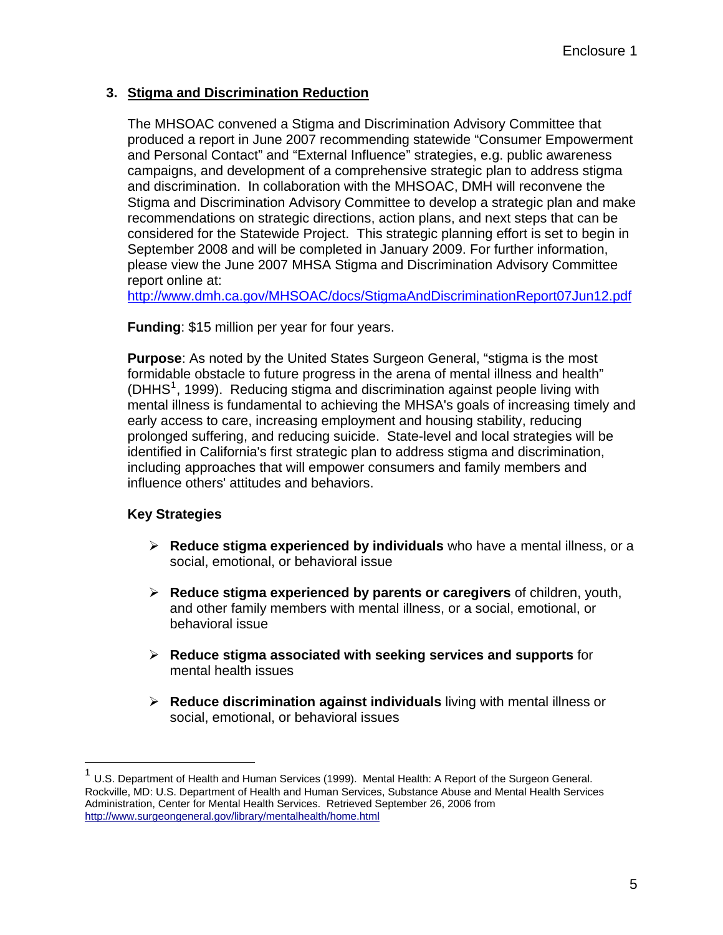# **3. Stigma and Discrimination Reduction**

The MHSOAC convened a Stigma and Discrimination Advisory Committee that produced a report in June 2007 recommending statewide "Consumer Empowerment and Personal Contact" and "External Influence" strategies, e.g. public awareness campaigns, and development of a comprehensive strategic plan to address stigma and discrimination. In collaboration with the MHSOAC, DMH will reconvene the Stigma and Discrimination Advisory Committee to develop a strategic plan and make recommendations on strategic directions, action plans, and next steps that can be considered for the Statewide Project. This strategic planning effort is set to begin in September 2008 and will be completed in January 2009. For further information, please view the June 2007 MHSA Stigma and Discrimination Advisory Committee report online at:

<http://www.dmh.ca.gov/MHSOAC/docs/StigmaAndDiscriminationReport07Jun12.pdf>

**Funding**: \$15 million per year for four years.

**Purpose**: As noted by the United States Surgeon General, "stigma is the most formidable obstacle to future progress in the arena of mental illness and health"  $(DHHS<sup>1</sup>, 1999)$  $(DHHS<sup>1</sup>, 1999)$  $(DHHS<sup>1</sup>, 1999)$ . Reducing stigma and discrimination against people living with mental illness is fundamental to achieving the MHSA's goals of increasing timely and early access to care, increasing employment and housing stability, reducing prolonged suffering, and reducing suicide. State-level and local strategies will be identified in California's first strategic plan to address stigma and discrimination, including approaches that will empower consumers and family members and influence others' attitudes and behaviors.

# **Key Strategies**

 $\overline{a}$ 

- ¾ **Reduce stigma experienced by individuals** who have a mental illness, or a social, emotional, or behavioral issue
- ¾ **Reduce stigma experienced by parents or caregivers** of children, youth, and other family members with mental illness, or a social, emotional, or behavioral issue
- ¾ **Reduce stigma associated with seeking services and supports** for mental health issues
- ¾ **Reduce discrimination against individuals** living with mental illness or social, emotional, or behavioral issues

<span id="page-4-0"></span><sup>1</sup> U.S. Department of Health and Human Services (1999). Mental Health: A Report of the Surgeon General. Rockville, MD: U.S. Department of Health and Human Services, Substance Abuse and Mental Health Services Administration, Center for Mental Health Services. Retrieved September 26, 2006 from <http://www.surgeongeneral.gov/library/mentalhealth/home.html>